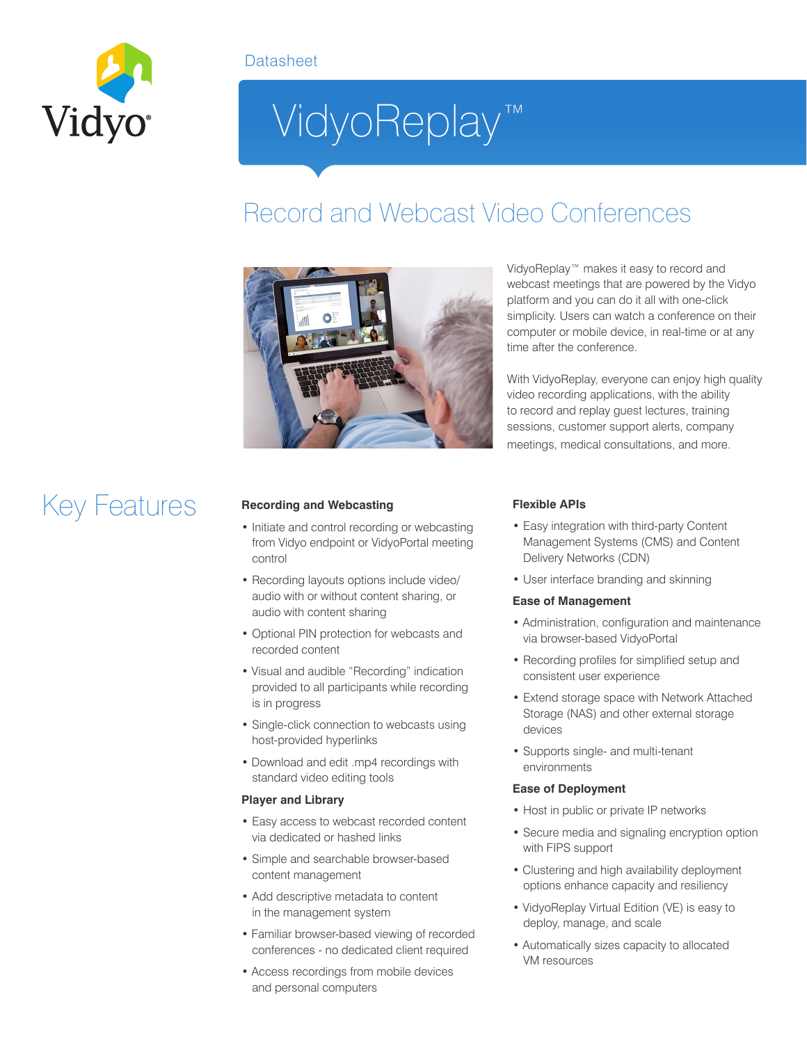

### **Datasheet**

# VidyoReplay™

### Record and Webcast Video Conferences



Key Features **Recording and Webcasting**

- Initiate and control recording or webcasting from Vidyo endpoint or VidyoPortal meeting control
- Recording layouts options include video/ audio with or without content sharing, or audio with content sharing
- Optional PIN protection for webcasts and recorded content
- Visual and audible "Recording" indication provided to all participants while recording is in progress
- Single-click connection to webcasts using host-provided hyperlinks
- Download and edit .mp4 recordings with standard video editing tools

#### **Player and Library**

- Easy access to webcast recorded content via dedicated or hashed links
- Simple and searchable browser-based content management
- Add descriptive metadata to content in the management system
- Familiar browser-based viewing of recorded conferences - no dedicated client required
- Access recordings from mobile devices and personal computers

VidyoReplay™ makes it easy to record and webcast meetings that are powered by the Vidyo platform and you can do it all with one-click simplicity. Users can watch a conference on their computer or mobile device, in real-time or at any time after the conference.

With VidyoReplay, everyone can enjoy high quality video recording applications, with the ability to record and replay guest lectures, training sessions, customer support alerts, company meetings, medical consultations, and more.

#### **Flexible APIs**

- Easy integration with third-party Content Management Systems (CMS) and Content Delivery Networks (CDN)
- User interface branding and skinning

#### **Ease of Management**

- Administration, configuration and maintenance via browser-based VidyoPortal
- Recording profiles for simplified setup and consistent user experience
- Extend storage space with Network Attached Storage (NAS) and other external storage devices
- Supports single- and multi-tenant environments

#### **Ease of Deployment**

- Host in public or private IP networks
- Secure media and signaling encryption option with FIPS support
- Clustering and high availability deployment options enhance capacity and resiliency
- VidyoReplay Virtual Edition (VE) is easy to deploy, manage, and scale
- Automatically sizes capacity to allocated VM resources